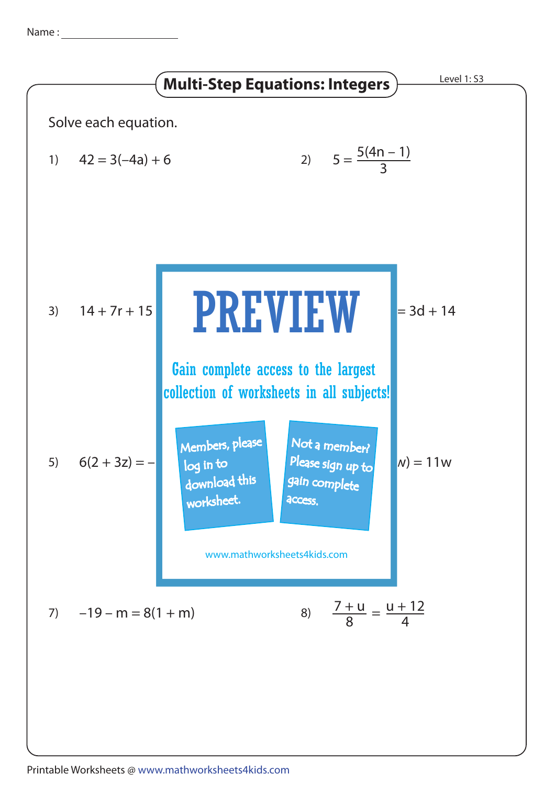